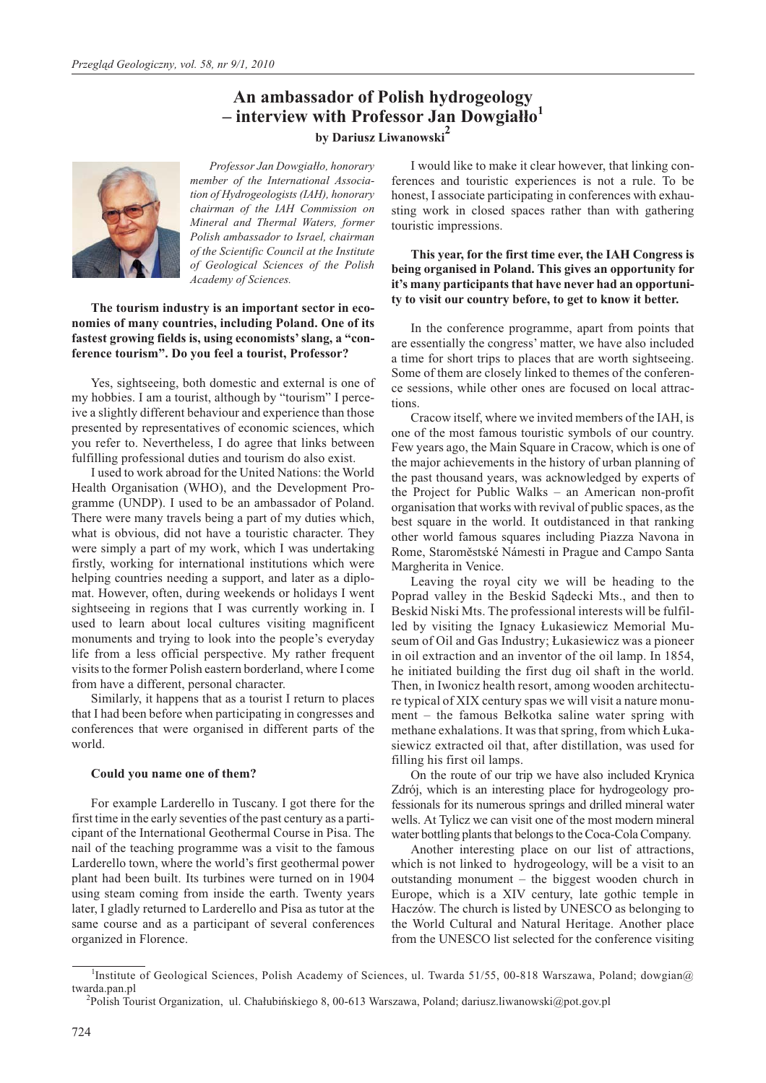# **An ambassador of Polish hydrogeology – interview with Professor Jan Dowgia³³o<sup>1</sup> by Dariusz Liwanowski<sup>2</sup>**



*Professor Jan Dowgia³³o, honorary member of the International Association of Hydrogeologists (IAH), honorary chairman of the IAH Commission on Mineral and Thermal Waters, former Polish ambassador to Israel, chairman of the Scientific Council at the Institute of Geological Sciences of the Polish Academy of Sciences.*

**The tourism industry is an important sector in economies of many countries, including Poland. One of its fastest growing fields is, using economists' slang, a "conference tourism". Do you feel a tourist, Professor?**

Yes, sightseeing, both domestic and external is one of my hobbies. I am a tourist, although by "tourism" I perceive a slightly different behaviour and experience than those presented by representatives of economic sciences, which you refer to. Nevertheless, I do agree that links between fulfilling professional duties and tourism do also exist.

I used to work abroad for the United Nations: the World Health Organisation (WHO), and the Development Programme (UNDP). I used to be an ambassador of Poland. There were many travels being a part of my duties which, what is obvious, did not have a touristic character. They were simply a part of my work, which I was undertaking firstly, working for international institutions which were helping countries needing a support, and later as a diplomat. However, often, during weekends or holidays I went sightseeing in regions that I was currently working in. I used to learn about local cultures visiting magnificent monuments and trying to look into the people's everyday life from a less official perspective. My rather frequent visits to the former Polish eastern borderland, where I come from have a different, personal character.

Similarly, it happens that as a tourist I return to places that I had been before when participating in congresses and conferences that were organised in different parts of the world.

## **Could you name one of them?**

For example Larderello in Tuscany. I got there for the first time in the early seventies of the past century as a participant of the International Geothermal Course in Pisa. The nail of the teaching programme was a visit to the famous Larderello town, where the world's first geothermal power plant had been built. Its turbines were turned on in 1904 using steam coming from inside the earth. Twenty years later, I gladly returned to Larderello and Pisa as tutor at the same course and as a participant of several conferences organized in Florence.

I would like to make it clear however, that linking conferences and touristic experiences is not a rule. To be honest, I associate participating in conferences with exhausting work in closed spaces rather than with gathering touristic impressions.

# **This year, for the first time ever, the IAH Congress is being organised in Poland. This gives an opportunity for it's many participants that have never had an opportunity to visit our country before, to get to know it better.**

In the conference programme, apart from points that are essentially the congress' matter, we have also included a time for short trips to places that are worth sightseeing. Some of them are closely linked to themes of the conference sessions, while other ones are focused on local attractions.

Cracow itself, where we invited members of the IAH, is one of the most famous touristic symbols of our country. Few years ago, the Main Square in Cracow, which is one of the major achievements in the history of urban planning of the past thousand years, was acknowledged by experts of the Project for Public Walks – an American non-profit organisation that works with revival of public spaces, as the best square in the world. It outdistanced in that ranking other world famous squares including Piazza Navona in Rome, Staroměstské Námesti in Prague and Campo Santa Margherita in Venice.

Leaving the royal city we will be heading to the Poprad valley in the Beskid Sądecki Mts., and then to Beskid Niski Mts. The professional interests will be fulfilled by visiting the Ignacy £ukasiewicz Memorial Museum of Oil and Gas Industry; £ukasiewicz was a pioneer in oil extraction and an inventor of the oil lamp. In 1854, he initiated building the first dug oil shaft in the world. Then, in Iwonicz health resort, among wooden architecture typical of XIX century spas we will visit a nature monu $ment - the famous Belkotka saline water spring with$ methane exhalations. It was that spring, from which £ukasiewicz extracted oil that, after distillation, was used for filling his first oil lamps.

On the route of our trip we have also included Krynica Zdrój, which is an interesting place for hydrogeology professionals for its numerous springs and drilled mineral water wells. At Tylicz we can visit one of the most modern mineral water bottling plants that belongs to the Coca-Cola Company.

Another interesting place on our list of attractions, which is not linked to hydrogeology, will be a visit to an outstanding monument – the biggest wooden church in Europe, which is a XIV century, late gothic temple in Haczów. The church is listed by UNESCO as belonging to the World Cultural and Natural Heritage. Another place from the UNESCO list selected for the conference visiting

<sup>&</sup>lt;sup>1</sup>Institute of Geological Sciences, Polish Academy of Sciences, ul. Twarda 51/55, 00-818 Warszawa, Poland; dowgian@ twarda.pan.pl

<sup>&</sup>lt;sup>2</sup>Polish Tourist Organization, ul. Chałubińskiego 8, 00-613 Warszawa, Poland; dariusz.liwanowski@pot.gov.pl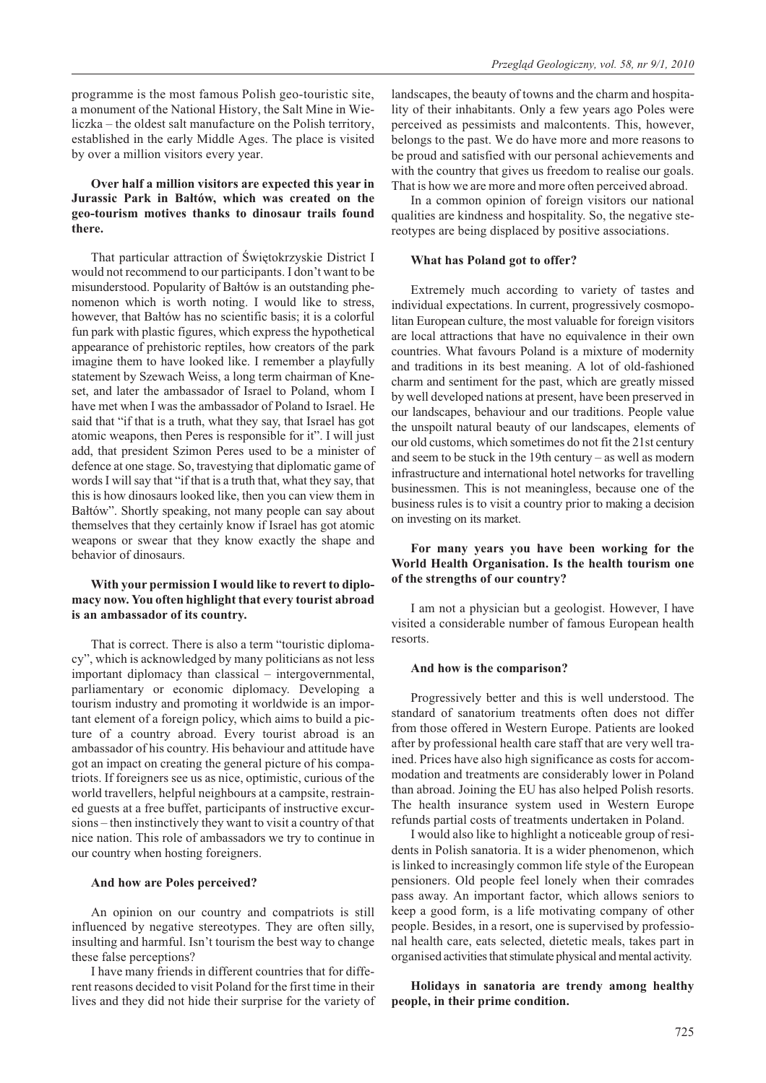programme is the most famous Polish geo-touristic site, a monument of the National History, the Salt Mine in Wieliczka – the oldest salt manufacture on the Polish territory, established in the early Middle Ages. The place is visited by over a million visitors every year.

# **Over half a million visitors are expected this year in Jurassic Park in Baltów, which was created on the geo-tourism motives thanks to dinosaur trails found there.**

That particular attraction of Świętokrzyskie District I would not recommend to our participants. I don't want to be misunderstood. Popularity of Bałtów is an outstanding phenomenon which is worth noting. I would like to stress, however, that Bałtów has no scientific basis; it is a colorful fun park with plastic figures, which express the hypothetical appearance of prehistoric reptiles, how creators of the park imagine them to have looked like. I remember a playfully statement by Szewach Weiss, a long term chairman of Kneset, and later the ambassador of Israel to Poland, whom I have met when I was the ambassador of Poland to Israel. He said that "if that is a truth, what they say, that Israel has got atomic weapons, then Peres is responsible for it". I will just add, that president Szimon Peres used to be a minister of defence at one stage. So, travestying that diplomatic game of words I will say that "if that is a truth that, what they say, that this is how dinosaurs looked like, then you can view them in Bałtów". Shortly speaking, not many people can say about themselves that they certainly know if Israel has got atomic weapons or swear that they know exactly the shape and behavior of dinosaurs.

## **With your permission I would like to revert to diplomacy now. You often highlight that every tourist abroad is an ambassador of its country.**

That is correct. There is also a term "touristic diplomacy", which is acknowledged by many politicians as not less important diplomacy than classical – intergovernmental, parliamentary or economic diplomacy. Developing a tourism industry and promoting it worldwide is an important element of a foreign policy, which aims to build a picture of a country abroad. Every tourist abroad is an ambassador of his country. His behaviour and attitude have got an impact on creating the general picture of his compatriots. If foreigners see us as nice, optimistic, curious of the world travellers, helpful neighbours at a campsite, restrained guests at a free buffet, participants of instructive excursions – then instinctively they want to visit a country of that nice nation. This role of ambassadors we try to continue in our country when hosting foreigners.

#### **And how are Poles perceived?**

An opinion on our country and compatriots is still influenced by negative stereotypes. They are often silly, insulting and harmful. Isn't tourism the best way to change these false perceptions?

I have many friends in different countries that for different reasons decided to visit Poland for the first time in their lives and they did not hide their surprise for the variety of landscapes, the beauty of towns and the charm and hospitality of their inhabitants. Only a few years ago Poles were perceived as pessimists and malcontents. This, however, belongs to the past. We do have more and more reasons to be proud and satisfied with our personal achievements and with the country that gives us freedom to realise our goals. That is how we are more and more often perceived abroad.

In a common opinion of foreign visitors our national qualities are kindness and hospitality. So, the negative stereotypes are being displaced by positive associations.

#### **What has Poland got to offer?**

Extremely much according to variety of tastes and individual expectations. In current, progressively cosmopolitan European culture, the most valuable for foreign visitors are local attractions that have no equivalence in their own countries. What favours Poland is a mixture of modernity and traditions in its best meaning. A lot of old-fashioned charm and sentiment for the past, which are greatly missed by well developed nations at present, have been preserved in our landscapes, behaviour and our traditions. People value the unspoilt natural beauty of our landscapes, elements of our old customs, which sometimes do not fit the 21st century and seem to be stuck in the 19th century – as well as modern infrastructure and international hotel networks for travelling businessmen. This is not meaningless, because one of the business rules is to visit a country prior to making a decision on investing on its market.

# **For many years you have been working for the World Health Organisation. Is the health tourism one of the strengths of our country?**

I am not a physician but a geologist. However, I have visited a considerable number of famous European health resorts.

#### **And how is the comparison?**

Progressively better and this is well understood. The standard of sanatorium treatments often does not differ from those offered in Western Europe. Patients are looked after by professional health care staff that are very well trained. Prices have also high significance as costs for accommodation and treatments are considerably lower in Poland than abroad. Joining the EU has also helped Polish resorts. The health insurance system used in Western Europe refunds partial costs of treatments undertaken in Poland.

I would also like to highlight a noticeable group of residents in Polish sanatoria. It is a wider phenomenon, which is linked to increasingly common life style of the European pensioners. Old people feel lonely when their comrades pass away. An important factor, which allows seniors to keep a good form, is a life motivating company of other people. Besides, in a resort, one is supervised by professional health care, eats selected, dietetic meals, takes part in organised activities that stimulate physical and mental activity.

**Holidays in sanatoria are trendy among healthy people, in their prime condition.**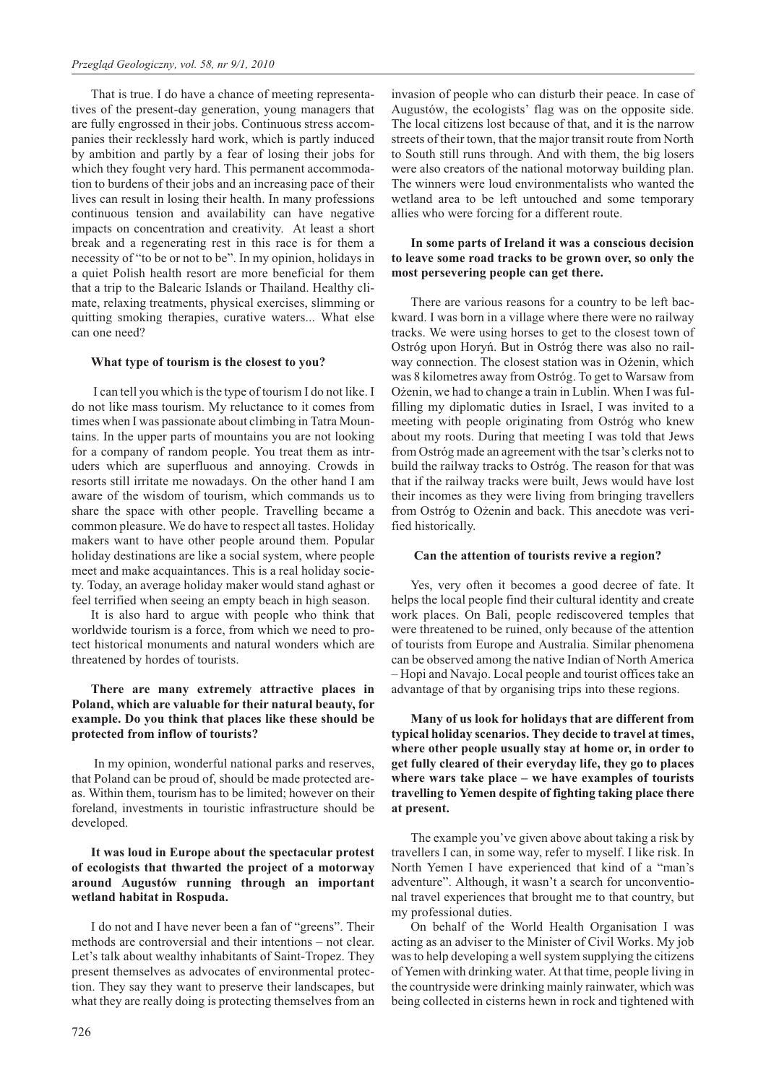That is true. I do have a chance of meeting representatives of the present-day generation, young managers that are fully engrossed in their jobs. Continuous stress accompanies their recklessly hard work, which is partly induced by ambition and partly by a fear of losing their jobs for which they fought very hard. This permanent accommodation to burdens of their jobs and an increasing pace of their lives can result in losing their health. In many professions continuous tension and availability can have negative impacts on concentration and creativity. At least a short break and a regenerating rest in this race is for them a necessity of "to be or not to be". In my opinion, holidays in a quiet Polish health resort are more beneficial for them that a trip to the Balearic Islands or Thailand. Healthy climate, relaxing treatments, physical exercises, slimming or quitting smoking therapies, curative waters... What else can one need?

### **What type of tourism is the closest to you?**

I can tell you which is the type of tourism I do not like. I do not like mass tourism. My reluctance to it comes from times when I was passionate about climbing in Tatra Mountains. In the upper parts of mountains you are not looking for a company of random people. You treat them as intruders which are superfluous and annoying. Crowds in resorts still irritate me nowadays. On the other hand I am aware of the wisdom of tourism, which commands us to share the space with other people. Travelling became a common pleasure. We do have to respect all tastes. Holiday makers want to have other people around them. Popular holiday destinations are like a social system, where people meet and make acquaintances. This is a real holiday society. Today, an average holiday maker would stand aghast or feel terrified when seeing an empty beach in high season.

It is also hard to argue with people who think that worldwide tourism is a force, from which we need to protect historical monuments and natural wonders which are threatened by hordes of tourists.

## **There are many extremely attractive places in Poland, which are valuable for their natural beauty, for example. Do you think that places like these should be protected from inflow of tourists?**

In my opinion, wonderful national parks and reserves, that Poland can be proud of, should be made protected areas. Within them, tourism has to be limited; however on their foreland, investments in touristic infrastructure should be developed.

## **It was loud in Europe about the spectacular protest of ecologists that thwarted the project of a motorway around Augustów running through an important wetland habitat in Rospuda.**

I do not and I have never been a fan of "greens". Their methods are controversial and their intentions – not clear. Let's talk about wealthy inhabitants of Saint-Tropez. They present themselves as advocates of environmental protection. They say they want to preserve their landscapes, but what they are really doing is protecting themselves from an

invasion of people who can disturb their peace. In case of Augustów, the ecologists' flag was on the opposite side. The local citizens lost because of that, and it is the narrow streets of their town, that the major transit route from North to South still runs through. And with them, the big losers were also creators of the national motorway building plan. The winners were loud environmentalists who wanted the wetland area to be left untouched and some temporary allies who were forcing for a different route.

## **In some parts of Ireland it was a conscious decision to leave some road tracks to be grown over, so only the most persevering people can get there.**

There are various reasons for a country to be left backward. I was born in a village where there were no railway tracks. We were using horses to get to the closest town of Ostróg upon Horyñ. But in Ostróg there was also no railway connection. The closest station was in Ożenin, which was 8 kilometres away from Ostróg. To get to Warsaw from Ożenin, we had to change a train in Lublin. When I was fulfilling my diplomatic duties in Israel, I was invited to a meeting with people originating from Ostróg who knew about my roots. During that meeting I was told that Jews from Ostróg made an agreement with the tsar's clerks not to build the railway tracks to Ostróg. The reason for that was that if the railway tracks were built, Jews would have lost their incomes as they were living from bringing travellers from Ostróg to Ożenin and back. This anecdote was verified historically.

### **Can the attention of tourists revive a region?**

Yes, very often it becomes a good decree of fate. It helps the local people find their cultural identity and create work places. On Bali, people rediscovered temples that were threatened to be ruined, only because of the attention of tourists from Europe and Australia. Similar phenomena can be observed among the native Indian of North America – Hopi and Navajo. Local people and tourist offices take an advantage of that by organising trips into these regions.

**Many of us look for holidays that are different from typical holiday scenarios. They decide to travel at times, where other people usually stay at home or, in order to get fully cleared of their everyday life, they go to places where wars take place – we have examples of tourists travelling to Yemen despite of fighting taking place there at present.**

The example you've given above about taking a risk by travellers I can, in some way, refer to myself. I like risk. In North Yemen I have experienced that kind of a "man's adventure". Although, it wasn't a search for unconventional travel experiences that brought me to that country, but my professional duties.

On behalf of the World Health Organisation I was acting as an adviser to the Minister of Civil Works. My job was to help developing a well system supplying the citizens of Yemen with drinking water. At that time, people living in the countryside were drinking mainly rainwater, which was being collected in cisterns hewn in rock and tightened with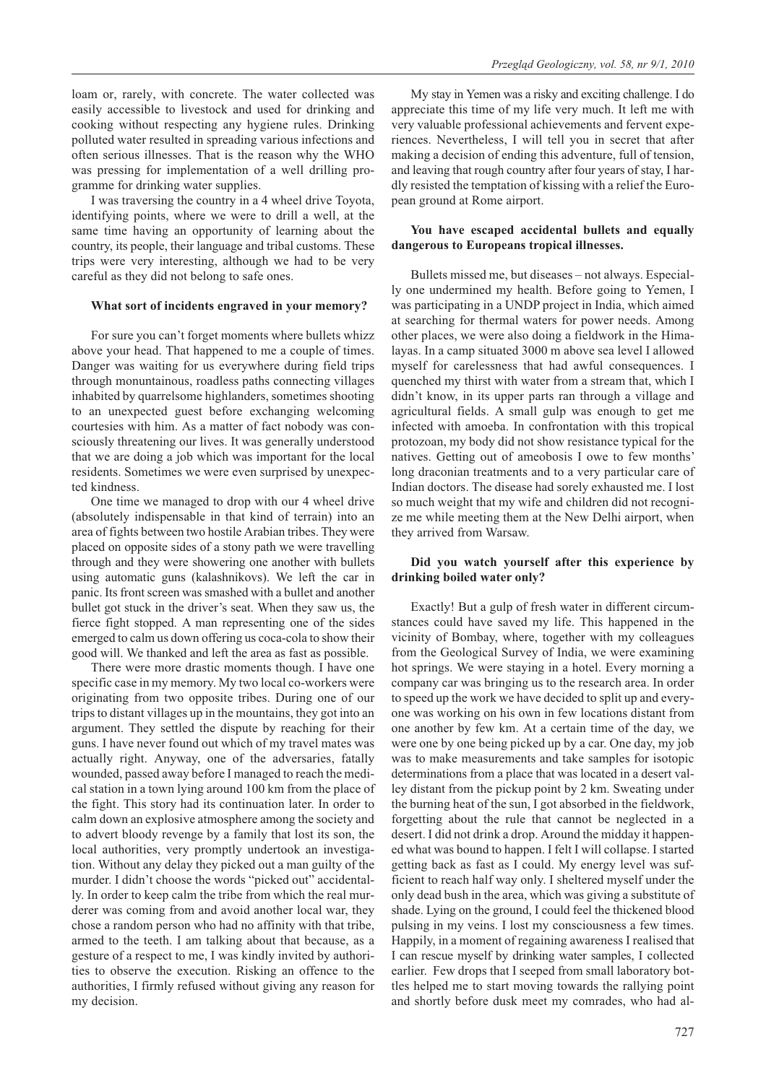loam or, rarely, with concrete. The water collected was easily accessible to livestock and used for drinking and cooking without respecting any hygiene rules. Drinking polluted water resulted in spreading various infections and often serious illnesses. That is the reason why the WHO was pressing for implementation of a well drilling programme for drinking water supplies.

I was traversing the country in a 4 wheel drive Toyota, identifying points, where we were to drill a well, at the same time having an opportunity of learning about the country, its people, their language and tribal customs. These trips were very interesting, although we had to be very careful as they did not belong to safe ones.

#### **What sort of incidents engraved in your memory?**

For sure you can't forget moments where bullets whizz above your head. That happened to me a couple of times. Danger was waiting for us everywhere during field trips through monuntainous, roadless paths connecting villages inhabited by quarrelsome highlanders, sometimes shooting to an unexpected guest before exchanging welcoming courtesies with him. As a matter of fact nobody was consciously threatening our lives. It was generally understood that we are doing a job which was important for the local residents. Sometimes we were even surprised by unexpected kindness.

One time we managed to drop with our 4 wheel drive (absolutely indispensable in that kind of terrain) into an area of fights between two hostile Arabian tribes. They were placed on opposite sides of a stony path we were travelling through and they were showering one another with bullets using automatic guns (kalashnikovs). We left the car in panic. Its front screen was smashed with a bullet and another bullet got stuck in the driver's seat. When they saw us, the fierce fight stopped. A man representing one of the sides emerged to calm us down offering us coca-cola to show their good will. We thanked and left the area as fast as possible.

There were more drastic moments though. I have one specific case in my memory. My two local co-workers were originating from two opposite tribes. During one of our trips to distant villages up in the mountains, they got into an argument. They settled the dispute by reaching for their guns. I have never found out which of my travel mates was actually right. Anyway, one of the adversaries, fatally wounded, passed away before I managed to reach the medical station in a town lying around 100 km from the place of the fight. This story had its continuation later. In order to calm down an explosive atmosphere among the society and to advert bloody revenge by a family that lost its son, the local authorities, very promptly undertook an investigation. Without any delay they picked out a man guilty of the murder. I didn't choose the words "picked out" accidentally. In order to keep calm the tribe from which the real murderer was coming from and avoid another local war, they chose a random person who had no affinity with that tribe, armed to the teeth. I am talking about that because, as a gesture of a respect to me, I was kindly invited by authorities to observe the execution. Risking an offence to the authorities, I firmly refused without giving any reason for my decision.

My stay in Yemen was a risky and exciting challenge. I do appreciate this time of my life very much. It left me with very valuable professional achievements and fervent experiences. Nevertheless, I will tell you in secret that after making a decision of ending this adventure, full of tension, and leaving that rough country after four years of stay, I hardly resisted the temptation of kissing with a relief the European ground at Rome airport.

## **You have escaped accidental bullets and equally dangerous to Europeans tropical illnesses.**

Bullets missed me, but diseases – not always. Especially one undermined my health. Before going to Yemen, I was participating in a UNDP project in India, which aimed at searching for thermal waters for power needs. Among other places, we were also doing a fieldwork in the Himalayas. In a camp situated 3000 m above sea level I allowed myself for carelessness that had awful consequences. I quenched my thirst with water from a stream that, which I didn't know, in its upper parts ran through a village and agricultural fields. A small gulp was enough to get me infected with amoeba. In confrontation with this tropical protozoan, my body did not show resistance typical for the natives. Getting out of ameobosis I owe to few months' long draconian treatments and to a very particular care of Indian doctors. The disease had sorely exhausted me. I lost so much weight that my wife and children did not recognize me while meeting them at the New Delhi airport, when they arrived from Warsaw.

## **Did you watch yourself after this experience by drinking boiled water only?**

Exactly! But a gulp of fresh water in different circumstances could have saved my life. This happened in the vicinity of Bombay, where, together with my colleagues from the Geological Survey of India, we were examining hot springs. We were staying in a hotel. Every morning a company car was bringing us to the research area. In order to speed up the work we have decided to split up and everyone was working on his own in few locations distant from one another by few km. At a certain time of the day, we were one by one being picked up by a car. One day, my job was to make measurements and take samples for isotopic determinations from a place that was located in a desert valley distant from the pickup point by 2 km. Sweating under the burning heat of the sun, I got absorbed in the fieldwork, forgetting about the rule that cannot be neglected in a desert. I did not drink a drop. Around the midday it happened what was bound to happen. I felt I will collapse. I started getting back as fast as I could. My energy level was sufficient to reach half way only. I sheltered myself under the only dead bush in the area, which was giving a substitute of shade. Lying on the ground, I could feel the thickened blood pulsing in my veins. I lost my consciousness a few times. Happily, in a moment of regaining awareness I realised that I can rescue myself by drinking water samples, I collected earlier. Few drops that I seeped from small laboratory bottles helped me to start moving towards the rallying point and shortly before dusk meet my comrades, who had al-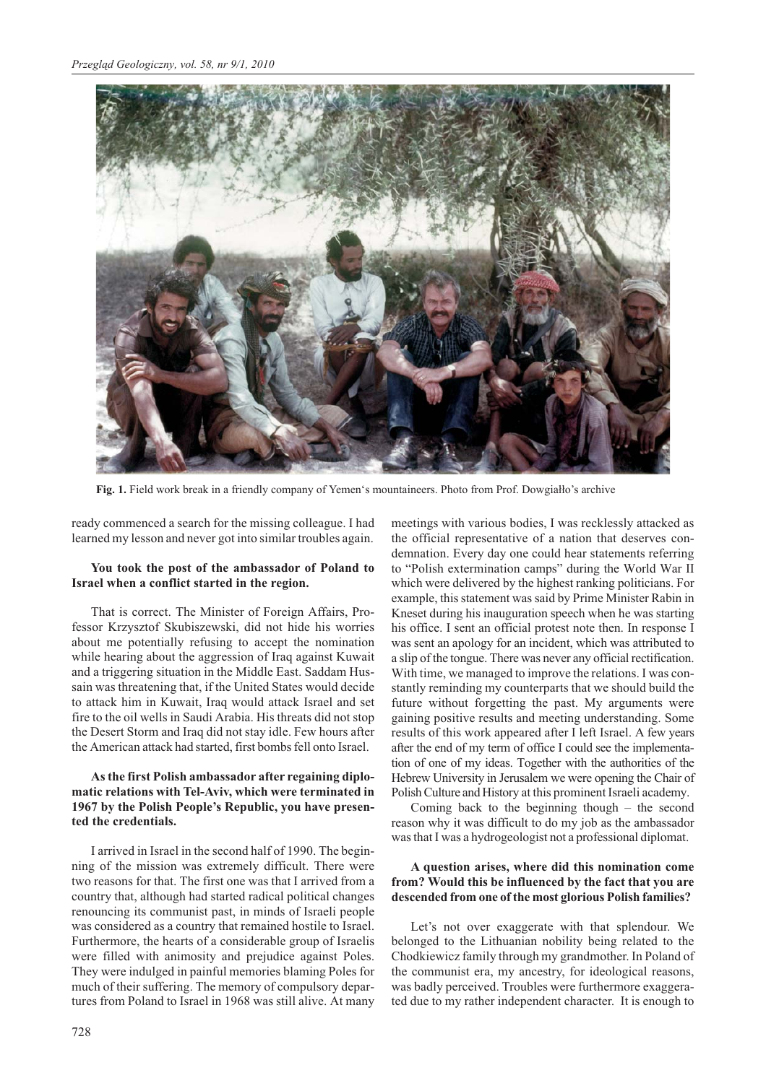

Fig. 1. Field work break in a friendly company of Yemen's mountaineers. Photo from Prof. Dowgiałło's archive

ready commenced a search for the missing colleague. I had learned my lesson and never got into similar troubles again.

## **You took the post of the ambassador of Poland to Israel when a conflict started in the region.**

That is correct. The Minister of Foreign Affairs, Professor Krzysztof Skubiszewski, did not hide his worries about me potentially refusing to accept the nomination while hearing about the aggression of Iraq against Kuwait and a triggering situation in the Middle East. Saddam Hussain was threatening that, if the United States would decide to attack him in Kuwait, Iraq would attack Israel and set fire to the oil wells in Saudi Arabia. His threats did not stop the Desert Storm and Iraq did not stay idle. Few hours after the American attack had started, first bombs fell onto Israel.

## **As the first Polish ambassador after regaining diplomatic relations with Tel-Aviv, which were terminated in 1967 by the Polish People's Republic, you have presented the credentials.**

I arrived in Israel in the second half of 1990. The beginning of the mission was extremely difficult. There were two reasons for that. The first one was that I arrived from a country that, although had started radical political changes renouncing its communist past, in minds of Israeli people was considered as a country that remained hostile to Israel. Furthermore, the hearts of a considerable group of Israelis were filled with animosity and prejudice against Poles. They were indulged in painful memories blaming Poles for much of their suffering. The memory of compulsory departures from Poland to Israel in 1968 was still alive. At many

meetings with various bodies, I was recklessly attacked as the official representative of a nation that deserves condemnation. Every day one could hear statements referring to "Polish extermination camps" during the World War II which were delivered by the highest ranking politicians. For example, this statement was said by Prime Minister Rabin in Kneset during his inauguration speech when he was starting his office. I sent an official protest note then. In response I was sent an apology for an incident, which was attributed to a slip of the tongue. There was never any official rectification. With time, we managed to improve the relations. I was constantly reminding my counterparts that we should build the future without forgetting the past. My arguments were gaining positive results and meeting understanding. Some results of this work appeared after I left Israel. A few years after the end of my term of office I could see the implementation of one of my ideas. Together with the authorities of the Hebrew University in Jerusalem we were opening the Chair of Polish Culture and History at this prominent Israeli academy.

Coming back to the beginning though – the second reason why it was difficult to do my job as the ambassador was that I was a hydrogeologist not a professional diplomat.

# **A question arises, where did this nomination come from? Would this be influenced by the fact that you are descended from one of the most glorious Polish families?**

Let's not over exaggerate with that splendour. We belonged to the Lithuanian nobility being related to the Chodkiewicz family through my grandmother. In Poland of the communist era, my ancestry, for ideological reasons, was badly perceived. Troubles were furthermore exaggerated due to my rather independent character. It is enough to